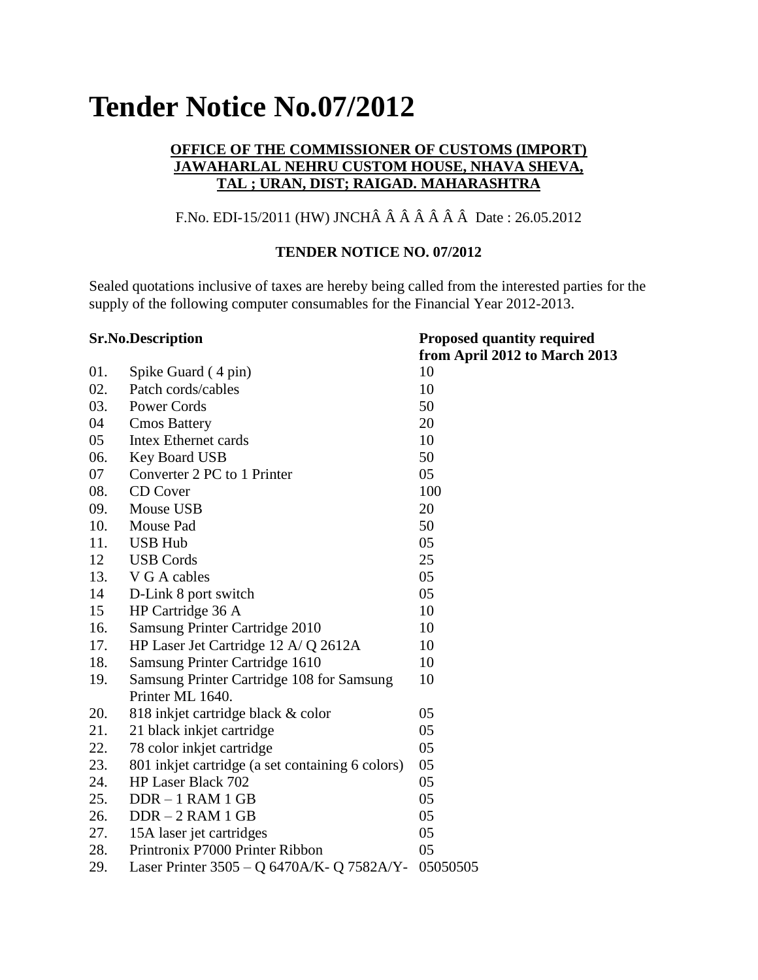# **Tender Notice No.07/2012**

# **OFFICE OF THE COMMISSIONER OF CUSTOMS (IMPORT) JAWAHARLAL NEHRU CUSTOM HOUSE, NHAVA SHEVA, TAL ; URAN, DIST; RAIGAD. MAHARASHTRA**

# F.No. EDI-15/2011 (HW) JNCHÂ Â Â Â Â Â Â Date : 26.05.2012

#### **TENDER NOTICE NO. 07/2012**

Sealed quotations inclusive of taxes are hereby being called from the interested parties for the supply of the following computer consumables for the Financial Year 2012-2013.

| <b>Sr.No.Description</b> |                                                  | <b>Proposed quantity required</b> |
|--------------------------|--------------------------------------------------|-----------------------------------|
|                          |                                                  | from April 2012 to March 2013     |
| 01.                      | Spike Guard (4 pin)                              | 10                                |
| 02.                      | Patch cords/cables                               | 10                                |
| 03.                      | Power Cords                                      | 50                                |
| 04                       | <b>Cmos Battery</b>                              | 20                                |
| 05                       | <b>Intex Ethernet cards</b>                      | 10                                |
| 06.                      | Key Board USB                                    | 50                                |
| 07                       | Converter 2 PC to 1 Printer                      | 05                                |
| 08.                      | <b>CD</b> Cover                                  | 100                               |
| 09.                      | Mouse USB                                        | 20                                |
| 10.                      | Mouse Pad                                        | 50                                |
| 11.                      | <b>USB Hub</b>                                   | 05                                |
| 12                       | <b>USB Cords</b>                                 | 25                                |
| 13.                      | V G A cables                                     | 05                                |
| 14                       | D-Link 8 port switch                             | 05                                |
| 15                       | HP Cartridge 36 A                                | 10                                |
| 16.                      | Samsung Printer Cartridge 2010                   | 10                                |
| 17.                      | HP Laser Jet Cartridge 12 A/ Q 2612A             | 10                                |
| 18.                      | Samsung Printer Cartridge 1610                   | 10                                |
| 19.                      | Samsung Printer Cartridge 108 for Samsung        | 10                                |
|                          | Printer ML 1640.                                 |                                   |
| 20.                      | 818 inkjet cartridge black & color               | 05                                |
| 21.                      | 21 black inkjet cartridge                        | 05                                |
| 22.                      | 78 color inkjet cartridge                        | 05                                |
| 23.                      | 801 inkjet cartridge (a set containing 6 colors) | 05                                |
| 24.                      | HP Laser Black 702                               | 05                                |
| 25.                      | $DDR - 1 RAM 1 GB$                               | 05                                |
| 26.                      | $DDR - 2 RAM 1 GB$                               | 05                                |
| 27.                      | 15A laser jet cartridges                         | 05                                |
| 28.                      | Printronix P7000 Printer Ribbon                  | 05                                |
| 29.                      | Laser Printer 3505 - Q 6470A/K- Q 7582A/Y-       | 05050505                          |